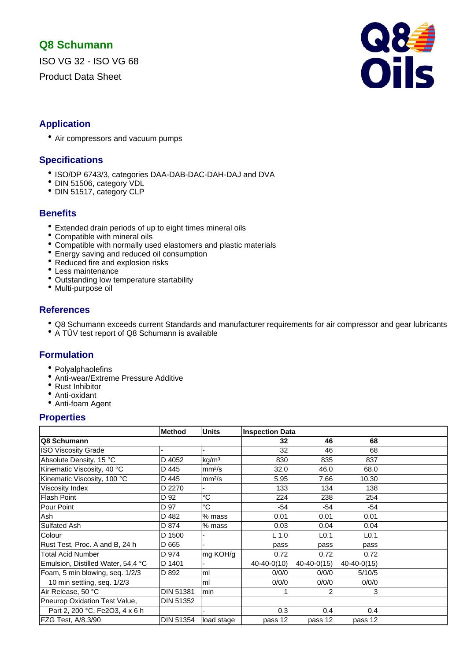# **Q8 Schumann**

ISO VG 32 - ISO VG 68

Product Data Sheet



# **Application**

• Air compressors and vacuum pumps

# **Specifications**

- ISO/DP 6743/3, categories DAA-DAB-DAC-DAH-DAJ and DVA
- DIN 51506, category VDL
- DIN 51517, category CLP

# **Benefits**

- Extended drain periods of up to eight times mineral oils
- Compatible with mineral oils
- Compatible with normally used elastomers and plastic materials
- Energy saving and reduced oil consumption
- Reduced fire and explosion risks
- Less maintenance
- Outstanding low temperature startability
- Multi-purpose oil

# **References**

- Q8 Schumann exceeds current Standards and manufacturer requirements for air compressor and gear lubricants
- A TÜV test report of Q8 Schumann is available

# **Formulation**

- Polyalphaolefins
- Anti-wear/Extreme Pressure Additive
- Rust Inhibitor
- Anti-oxidant
- Anti-foam Agent

## **Properties**

|                                    | <b>Method</b>    | <b>Units</b>       | <b>Inspection Data</b> |                  |                   |  |
|------------------------------------|------------------|--------------------|------------------------|------------------|-------------------|--|
| Q8 Schumann                        |                  |                    | 32                     | 46               | 68                |  |
| <b>ISO Viscosity Grade</b>         |                  |                    | 32                     | 46               | 68                |  |
| Absolute Density, 15 °C            | D 4052           | kg/m <sup>3</sup>  | 830                    | 835              | 837               |  |
| Kinematic Viscosity, 40 °C         | D 445            | mm <sup>2</sup> /s | 32.0                   | 46.0             | 68.0              |  |
| Kinematic Viscosity, 100 °C        | D 445            | mm <sup>2</sup> /s | 5.95                   | 7.66             | 10.30             |  |
| Viscosity Index                    | D 2270           |                    | 133                    | 134              | 138               |  |
| <b>Flash Point</b>                 | D 92             | °C                 | 224                    | 238              | 254               |  |
| <b>Pour Point</b>                  | D 97             | °C                 | $-54$                  | -54              | $-54$             |  |
| Ash                                | D 482            | % mass             | 0.01                   | 0.01             | 0.01              |  |
| Sulfated Ash                       | D 874            | $%$ mass           | 0.03                   | 0.04             | 0.04              |  |
| Colour                             | D 1500           |                    | $L$ 1.0                | L <sub>0.1</sub> | L <sub>0.1</sub>  |  |
| Rust Test, Proc. A and B, 24 h     | D 665            |                    | pass                   | pass             | pass              |  |
| <b>Total Acid Number</b>           | D 974            | mg KOH/g           | 0.72                   | 0.72             | 0.72              |  |
| Emulsion, Distilled Water, 54.4 °C | D 1401           |                    | $40 - 40 - 0(10)$      | $40-40-0(15)$    | $40 - 40 - 0(15)$ |  |
| Foam, 5 min blowing, seq. 1/2/3    | D 892            | ml                 | 0/0/0                  | 0/0/0            | 5/10/5            |  |
| 10 min settling, seq. 1/2/3        |                  | ml                 | 0/0/0                  | 0/0/0            | 0/0/0             |  |
| Air Release, 50 °C                 | <b>DIN 51381</b> | min                |                        | $\overline{2}$   | 3                 |  |
| Pneurop Oxidation Test Value,      | <b>DIN 51352</b> |                    |                        |                  |                   |  |
| Part 2, 200 °C, Fe2O3, 4 x 6 h     |                  |                    | 0.3                    | 0.4              | 0.4               |  |
| FZG Test, A/8.3/90                 | DIN 51354        | load stage         | pass 12                | pass 12          | pass 12           |  |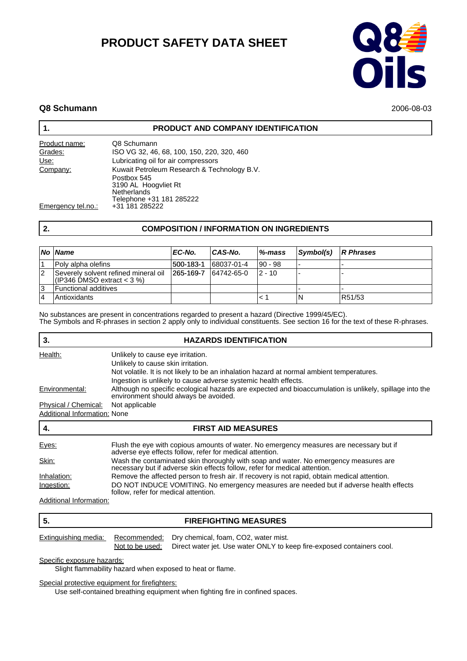# **PRODUCT SAFETY DATA SHEET**



### **Q8 Schumann** 2006-08-03

### **1. PRODUCT AND COMPANY IDENTIFICATION**

| Product name:      | Q8 Schumann                                               |
|--------------------|-----------------------------------------------------------|
| Grades:            | ISO VG 32, 46, 68, 100, 150, 220, 320, 460                |
| Use:               | Lubricating oil for air compressors                       |
| Company:           | Kuwait Petroleum Research & Technology B.V.               |
|                    | Postbox 545<br>3190 AL Hoogvliet Rt<br><b>Netherlands</b> |
| Emergency tel.no.: | Telephone +31 181 285222<br>+31 181 285222                |

# **2. COMPOSITION / INFORMATION ON INGREDIENTS**

|    | No Name                                                                | EC-No.            | CAS-No.    | %-mass  | Symbol(s) | $\mathsf{R}$ Phrases |
|----|------------------------------------------------------------------------|-------------------|------------|---------|-----------|----------------------|
|    | Poly alpha olefins                                                     | 500-183-1         | 68037-01-4 | 90 - 98 |           |                      |
| 12 | Severely solvent refined mineral oil<br>$ $ (IP346 DMSO extract < 3 %) | $ 265 - 169 - 7 $ | 64742-65-0 | 12 - 10 |           |                      |
| 13 | <b>Functional additives</b>                                            |                   |            |         |           |                      |
|    | Antioxidants                                                           |                   |            |         | ΙN        | R51/53               |

No substances are present in concentrations regarded to present a hazard (Directive 1999/45/EC). The Symbols and R-phrases in section 2 apply only to individual constituents. See section 16 for the text of these R-phrases.

| 3.                           | <b>HAZARDS IDENTIFICATION</b>                                                                                                                                      |
|------------------------------|--------------------------------------------------------------------------------------------------------------------------------------------------------------------|
| Health:                      | Unlikely to cause eye irritation.                                                                                                                                  |
|                              | Unlikely to cause skin irritation.                                                                                                                                 |
|                              | Not volatile. It is not likely to be an inhalation hazard at normal ambient temperatures.                                                                          |
|                              | Ingestion is unlikely to cause adverse systemic health effects.                                                                                                    |
| Environmental:               | Although no specific ecological hazards are expected and bioaccumulation is unlikely, spillage into the<br>environment should always be avoided.                   |
| Physical / Chemical:         | Not applicable                                                                                                                                                     |
| Additional Information: None |                                                                                                                                                                    |
| 4.                           | <b>FIRST AID MEASURES</b>                                                                                                                                          |
| Eyes:                        | Flush the eye with copious amounts of water. No emergency measures are necessary but if<br>adverse eye effects follow, refer for medical attention.                |
| Skin:                        | Wash the contaminated skin thoroughly with soap and water. No emergency measures are<br>necessary but if adverse skin effects follow, refer for medical attention. |
| Inhalation:                  | Remove the affected person to fresh air. If recovery is not rapid, obtain medical attention.                                                                       |
| Ingestion:                   | DO NOT INDUCE VOMITING. No emergency measures are needed but if adverse health effects<br>follow, refer for medical attention.                                     |
| Additional Information:      |                                                                                                                                                                    |

Additional Information:

#### **5. FIREFIGHTING MEASURES**

|  | Extinguishing media: Recommended: Dry chemical, foam, CO2, water mist.                 |
|--|----------------------------------------------------------------------------------------|
|  | Not to be used: Direct water jet. Use water ONLY to keep fire-exposed containers cool. |

Specific exposure hazards:

Slight flammability hazard when exposed to heat or flame.

Special protective equipment for firefighters:

Use self-contained breathing equipment when fighting fire in confined spaces.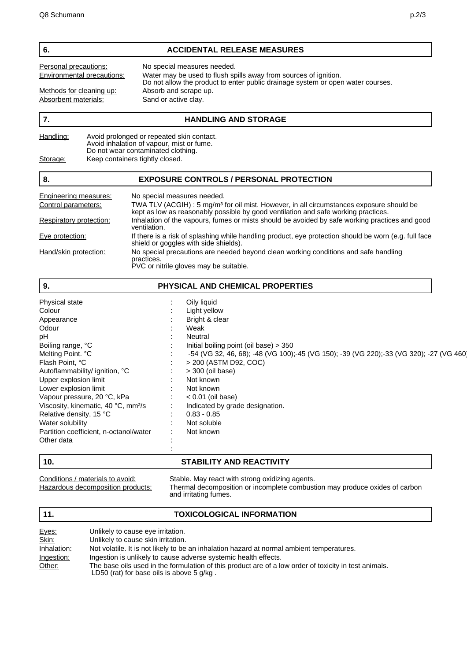#### **6. ACCIDENTAL RELEASE MEASURES**

Personal precautions: No special measures needed.<br> **Environmental precautions:** Water may be used to flush sp

Methods for cleaning up:<br>Absorbent materials: Sand or active clay. Absorbent materials:

Environmental precautions: Water may be used to flush spills away from sources of ignition. Do not allow the product to enter public drainage system or open water courses.

#### **7. HANDLING AND STORAGE**

| Handling: | Avoid prolonged or repeated skin contact.<br>Avoid inhalation of vapour, mist or fume. |
|-----------|----------------------------------------------------------------------------------------|
|           | Do not wear contaminated clothing.                                                     |
| Storage:  | Keep containers tightly closed.                                                        |

#### **8. EXPOSURE CONTROLS / PERSONAL PROTECTION**

| Engineering measures:   | No special measures needed.                                                                                                                                                                |
|-------------------------|--------------------------------------------------------------------------------------------------------------------------------------------------------------------------------------------|
| Control parameters:     | TWA TLV (ACGIH) : 5 mg/m <sup>3</sup> for oil mist. However, in all circumstances exposure should be<br>kept as low as reasonably possible by good ventilation and safe working practices. |
| Respiratory protection: | Inhalation of the vapours, fumes or mists should be avoided by safe working practices and good<br>ventilation.                                                                             |
| Eye protection:         | If there is a risk of splashing while handling product, eye protection should be worn (e.g. full face<br>shield or goggles with side shields).                                             |
| Hand/skin protection:   | No special precautions are needed beyond clean working conditions and safe handling<br>practices.<br>PVC or nitrile gloves may be suitable.                                                |

| 9.                                              | PHYSICAL AND CHEMICAL PROPERTIES                                                        |  |
|-------------------------------------------------|-----------------------------------------------------------------------------------------|--|
| Physical state                                  | Oily liquid                                                                             |  |
| Colour                                          | Light yellow                                                                            |  |
| Appearance                                      | Bright & clear                                                                          |  |
| Odour                                           | Weak                                                                                    |  |
| рH                                              | Neutral                                                                                 |  |
| Boiling range, °C                               | Initial boiling point (oil base) $>$ 350                                                |  |
| Melting Point. °C                               | -54 (VG 32, 46, 68); -48 (VG 100);-45 (VG 150); -39 (VG 220);-33 (VG 320); -27 (VG 460) |  |
| Flash Point, °C                                 | > 200 (ASTM D92, COC)                                                                   |  |
| Autoflammability/ ignition, °C                  | > 300 (oil base)                                                                        |  |
| Upper explosion limit                           | Not known                                                                               |  |
| Lower explosion limit                           | Not known                                                                               |  |
| Vapour pressure, 20 °C, kPa                     | $< 0.01$ (oil base)                                                                     |  |
| Viscosity, kinematic, 40 °C, mm <sup>2</sup> /s | Indicated by grade designation.<br>÷                                                    |  |
| Relative density, 15 °C                         | $0.83 - 0.85$                                                                           |  |
| Water solubility                                | Not soluble                                                                             |  |
| Partition coefficient, n-octanol/water          | Not known                                                                               |  |
| Other data                                      |                                                                                         |  |
|                                                 |                                                                                         |  |

# **10. STABILITY AND REACTIVITY**

Conditions / materials to avoid: Stable. May react with strong oxidizing agents.<br>Hazardous decomposition products: Thermal decomposition or incomplete combust Thermal decomposition or incomplete combustion may produce oxides of carbon and irritating fumes.

### **11. TOXICOLOGICAL INFORMATION**

| Eyes:       | Unlikely to cause eye irritation.                                                                                                                  |
|-------------|----------------------------------------------------------------------------------------------------------------------------------------------------|
| Skin:       | Unlikely to cause skin irritation.                                                                                                                 |
| Inhalation: | Not volatile. It is not likely to be an inhalation hazard at normal ambient temperatures.                                                          |
| Ingestion:  | Ingestion is unlikely to cause adverse systemic health effects.                                                                                    |
| Other:      | The base oils used in the formulation of this product are of a low order of toxicity in test animals.<br>LD50 (rat) for base oils is above 5 g/kg. |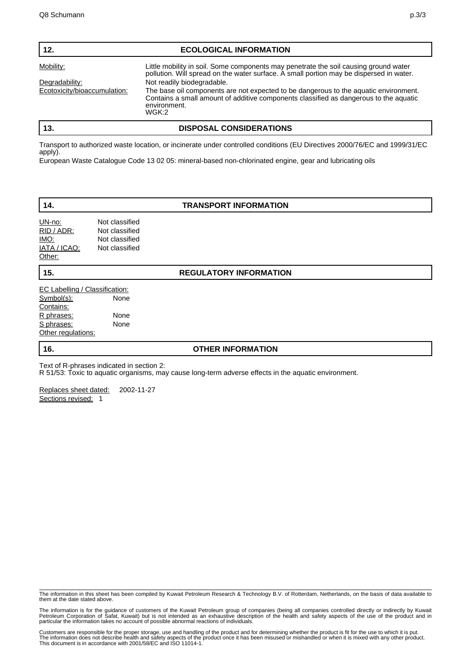| 12.                          | <b>ECOLOGICAL INFORMATION</b>                                                                                                                                                                             |
|------------------------------|-----------------------------------------------------------------------------------------------------------------------------------------------------------------------------------------------------------|
| Mobility:                    | Little mobility in soil. Some components may penetrate the soil causing ground water<br>pollution. Will spread on the water surface. A small portion may be dispersed in water.                           |
| Degradability:               | Not readily biodegradable.                                                                                                                                                                                |
| Ecotoxicity/bioaccumulation: | The base oil components are not expected to be dangerous to the aquatic environment.<br>Contains a small amount of additive components classified as dangerous to the aquatic<br>environment.<br>$W$ GK:2 |
| 13.                          | <b>DISPOSAL CONSIDERATIONS</b>                                                                                                                                                                            |

Transport to authorized waste location, or incinerate under controlled conditions (EU Directives 2000/76/EC and 1999/31/EC apply).

European Waste Catalogue Code 13 02 05: mineral-based non-chlorinated engine, gear and lubricating oils

#### **14. TRANSPORT INFORMATION**

| UN-no:       | Not classified |
|--------------|----------------|
| RID / ADR:   | Not classified |
| IMO:         | Not classified |
| IATA / ICAO: | Not classified |
| Other:       |                |

**15. REGULATORY INFORMATION**

| EC Labelling / Classification: |      |
|--------------------------------|------|
| <u>Symbol(s):</u>              | None |
| Contains:                      |      |
| R phrases:                     | None |
| <u>S phrases:</u>              | None |
| Other regulations:             |      |

#### **16. OTHER INFORMATION**

Text of R-phrases indicated in section 2:

R 51/53: Toxic to aquatic organisms, may cause long-term adverse effects in the aquatic environment.

Replaces sheet dated: 2002-11-27 Sections revised: 1

The information in this sheet has been compiled by Kuwait Petroleum Research & Technology B.V. of Rotterdam, Netherlands, on the basis of data available to them at the date stated above.

The information is for the guidance of customers of the Kuwait Petroleum group of companies (being all companies controlled directly or indirectly by Kuwait<br>Petroleum Corporation of Safat, Kuwait) but is not intended as an